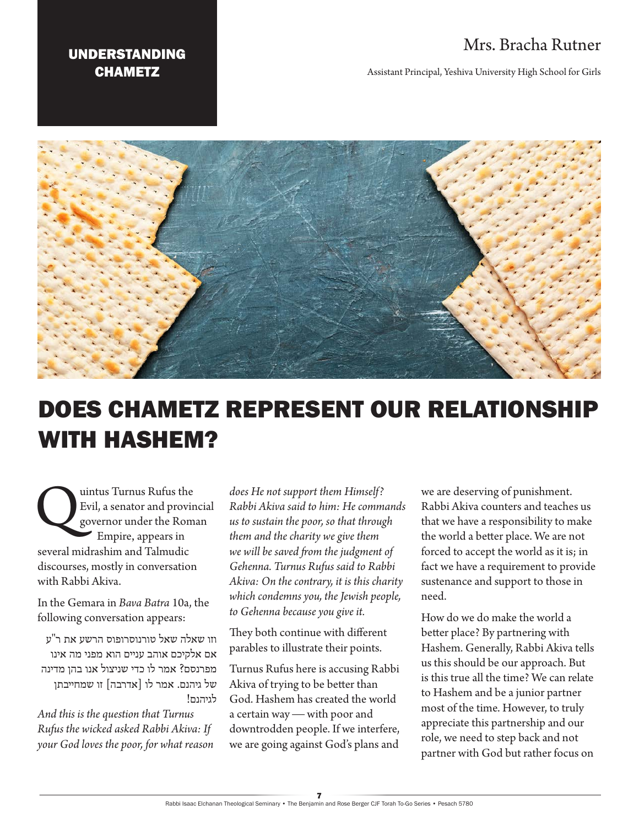## Mrs. Bracha Rutner

## UNDERSTANDING **CHAMETZ**

Assistant Principal, Yeshiva University High School for Girls



## DOES CHAMETZ REPRESENT OUR RELATIONSHIP WITH HASHEM?

Unitus Turnus Rufus the<br>Evil, a senator and province governor under the Rom<br>Empire, appears in Evil, a senator and provincial governor under the [Roman](https://en.wikipedia.org/wiki/Roman_Empire)  Empire, appears in several midrashim and Talmudic discourses, mostly in conversation with Rabbi Akiva.

In the Gemara in *Bava Batra* 10a, the following conversation appears:

וזו שאלה שאל טורנוסרופוס הרשע את ר"ע אם אלקיכם אוהב עניים הוא מפני מה אינו מפרנסם? אמר לו כדי שניצול אנו בהן מדינה של גיהנם. אמר לו ]אדרבה[ זו שמחייבתן לגיהנם!

*And this is the question that Turnus Rufus the wicked asked Rabbi Akiva: If your God loves the poor, for what reason* 

*does He not support them Himself? Rabbi Akiva said to him: He commands us to sustain the poor, so that through them and the charity we give them we will be saved from the judgment of Gehenna. Turnus Rufus said to Rabbi Akiva: On the contrary, it is this charity which condemns you, the Jewish people, to Gehenna because you give it.* 

They both continue with different parables to illustrate their points.

Turnus Rufus here is accusing Rabbi Akiva of trying to be better than God. Hashem has created the world a certain way — with poor and downtrodden people. If we interfere, we are going against God's plans and

we are deserving of punishment. Rabbi Akiva counters and teaches us that we have a responsibility to make the world a better place. We are not forced to accept the world as it is; in fact we have a requirement to provide sustenance and support to those in need.

How do we do make the world a better place? By partnering with Hashem. Generally, Rabbi Akiva tells us this should be our approach. But is this true all the time? We can relate to Hashem and be a junior partner most of the time. However, to truly appreciate this partnership and our role, we need to step back and not partner with God but rather focus on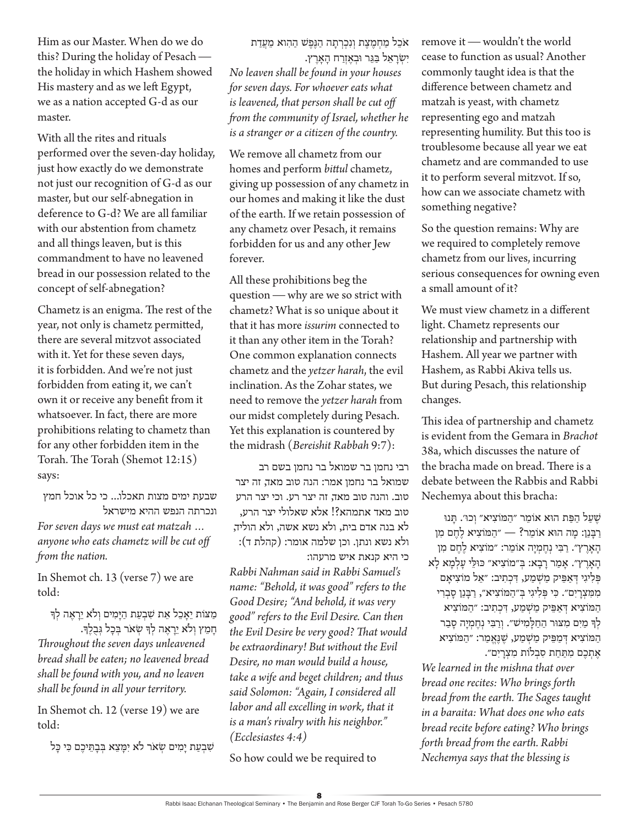Him as our Master. When do we do this? During the holiday of Pesach the holiday in which Hashem showed His mastery and as we left Egypt, we as a nation accepted G-d as our master.

With all the rites and rituals performed over the seven-day holiday, just how exactly do we demonstrate not just our recognition of G-d as our master, but our self-abnegation in deference to G-d? We are all familiar with our abstention from chametz and all things leaven, but is this commandment to have no leavened bread in our possession related to the concept of self-abnegation?

Chametz is an enigma. The rest of the year, not only is chametz permitted, there are several mitzvot associated with it. Yet for these seven days, it is forbidden. And we're not just forbidden from eating it, we can't own it or receive any benefit from it whatsoever. In fact, there are more prohibitions relating to chametz than for any other forbidden item in the Torah. The Torah (Shemot 12:15) says:

שבעת ימים מצות תאכלו... כי כל אוכל חמץ ונכרתה הנפש ההיא מישראל *For seven days we must eat matzah …* 

*anyone who eats chametz will be cut off from the nation.*

In Shemot ch. 13 (verse 7) we are told:

מַצּוֹת יֵאַכֵל אֵת שָׁבִעַת הַיַּמִים וְלֹא יֵרָאָה לְדִּ חָ מֵ ץ וְ לֹא יֵרָ אֶ ה לְ ָך שְ אֹר בְ כָ ל גְ בֻ לֶָך.

*Throughout the seven days unleavened bread shall be eaten; no leavened bread shall be found with you, and no leaven shall be found in all your territory.*

In Shemot ch. 12 (verse 19) we are told:

שִׁבְעַת יַמִים שָׂאֹר לֹא יִמַּצֵא בְּבָתֵּיכֶם כִּי כַּל

אֹכֵל מַחְמֵצֶת וְנִכְרְתַה הַגְּפֶשׁ הַהִוא מֵעֲדַת יִ שְ רָ אֵ ל בַ גֵ ר ּובְ אֶ זְרַ ח הָ אָ רֶ ץ.

*No leaven shall be found in your houses for seven days. For whoever eats what is leavened, that person shall be cut off from the community of Israel, whether he is a stranger or a citizen of the country.*

We remove all chametz from our homes and perform *bittul* chametz, giving up possession of any chametz in our homes and making it like the dust of the earth. If we retain possession of any chametz over Pesach, it remains forbidden for us and any other Jew forever.

All these prohibitions beg the question — why are we so strict with chametz? What is so unique about it that it has more *issurim* connected to it than any other item in the Torah? One common explanation connects chametz and the *yetzer harah*, the evil inclination. As the Zohar states, we need to remove the *yetzer harah* from our midst completely during Pesach. Yet this explanation is countered by the midrash (*Bereishit Rabbah* 9:7):

רבי נחמן בר שמואל בר נחמן בשם רב שמואל בר נחמן אמר: הנה טוב מאד, זה יצר טוב. והנה טוב מאד, זה יצר רע. וכי יצר הרע טוב מאד אתמהא?! אלא שאלולי יצר הרע, לא בנה אדם בית, ולא נשא אשה, ולא הוליד, ולא נשא ונתן. וכן שלמה אומר: (קהלת ד): כי היא קנאת איש מרעהו:

*Rabbi Nahman said in Rabbi Samuel's name: "Behold, it was good" refers to the Good Desire; "And behold, it was very good" refers to the Evil Desire. Can then the Evil Desire be very good? That would be extraordinary! But without the Evil Desire, no man would build a house, take a wife and beget children; and thus said Solomon: "Again, I considered all labor and all excelling in work, that it is a man's rivalry with his neighbor." (Ecclesiastes 4:4)*

So how could we be required to

remove it — wouldn't the world cease to function as usual? Another commonly taught idea is that the difference between chametz and matzah is yeast, with chametz representing ego and matzah representing humility. But this too is troublesome because all year we eat chametz and are commanded to use it to perform several mitzvot. If so, how can we associate chametz with something negative?

So the question remains: Why are we required to completely remove chametz from our lives, incurring serious consequences for owning even a small amount of it?

We must view chametz in a different light. Chametz represents our relationship and partnership with Hashem. All year we partner with Hashem, as Rabbi Akiva tells us. But during Pesach, this relationship changes.

This idea of partnership and chametz is evident from the Gemara in *Brachot* 38a, which discusses the nature of the bracha made on bread. There is a debate between the Rabbis and Rabbi Nechemya about this bracha:

ֿשֵעַל הַפַּת הוּא אוֹמֵר ״הַמּוֹצִיא״ וְכוּ׳. תַּנוּ רַ ּבָ נַן: מָ ה הּוא אֹומֵ ר? — ״הַ ּמֹוצִ יא לֶ חֶ ם מִ ן הָאָרֵץ״. רַבִּי נְחֱמְיָה אוֹמֵר: ״מוֹצִיא לֶחֶם מִן הָ אָ רֶ ץ״. אָ מַ ר רָ בָ א: ּב ְ ״מֹוצִ יא״ ּכּוּלֵ י עָ לְ מָ א לָ א ּפְ לִ יגִ י ּדְ אַ ּפֵ יק מַ ׁשְ מַ ע, ּדִ כְ תִ יב: ״אֵ ל מֹוצִ יאָ ם מִ ּמ ִ צְ רָ יִם״. ּכ ִ י ּפְ לִ יגִ י ְּב״הַ ּמֹוצִ יא״, רַ ּבָ נַן סָ בְ רִ י הַ ּמֹוצִ יא ּדְ אַ ּפֵ יק מַ ׁשְ מַ ע, ּדִ כְ תִ יב: ״הַ ּמֹוצִ יא לְךָ מַיִם מִצּוּר הַחַלָּמִי*שׁ״.* וְרַבִּי נְחֶמְיָה סָבַר הַמֹוֹצִיא דְּמַפֵּיק מַשְׁמַע, שֵׁנֵאֲמַר: "הַמּוֹצִיא אתכם מתּחת סבלות מצרים״.

*We learned in the mishna that over bread one recites: Who brings forth bread from the earth. The Sages taught in a baraita: What does one who eats bread recite before eating? Who brings forth bread from the earth. Rabbi Nechemya says that the blessing is*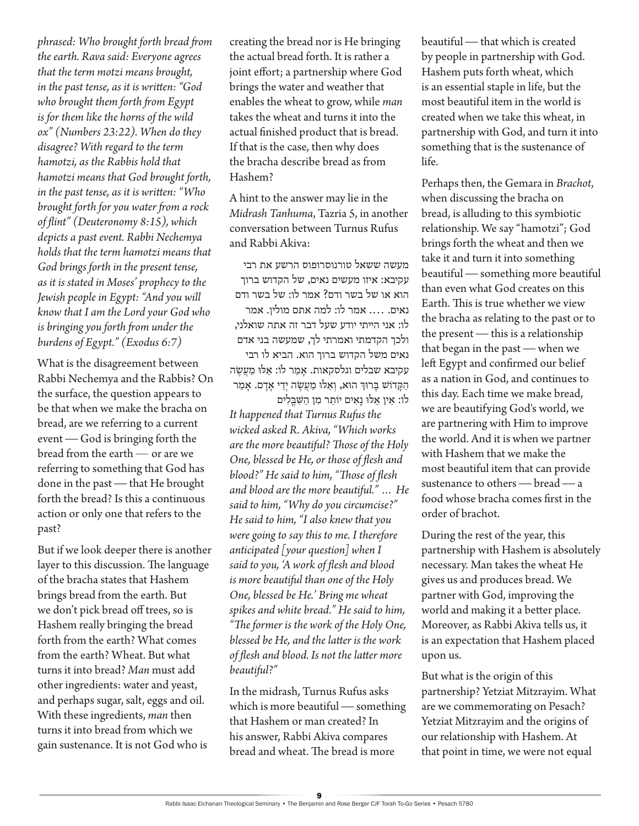*phrased: Who brought forth bread from the earth. Rava said: Everyone agrees that the term motzi means brought, in the past tense, as it is written: "God who brought them forth from Egypt is for them like the horns of the wild ox" (Numbers 23:22). When do they disagree? With regard to the term hamotzi, as the Rabbis hold that hamotzi means that God brought forth, in the past tense, as it is written: "Who brought forth for you water from a rock of flint" (Deuteronomy 8:15), which depicts a past event. Rabbi Nechemya holds that the term hamotzi means that God brings forth in the present tense, as it is stated in Moses' prophecy to the Jewish people in Egypt: "And you will know that I am the Lord your God who is bringing you forth from under the burdens of Egypt." (Exodus 6:7)* 

What is the disagreement between Rabbi Nechemya and the Rabbis? On the surface, the question appears to be that when we make the bracha on bread, are we referring to a current event — God is bringing forth the bread from the earth — or are we referring to something that God has done in the past — that He brought forth the bread? Is this a continuous action or only one that refers to the past?

But if we look deeper there is another layer to this discussion. The language of the bracha states that Hashem brings bread from the earth. But we don't pick bread off trees, so is Hashem really bringing the bread forth from the earth? What comes from the earth? Wheat. But what turns it into bread? *Man* must add other ingredients: water and yeast, and perhaps sugar, salt, eggs and oil. With these ingredients, *man* then turns it into bread from which we gain sustenance. It is not God who is

creating the bread nor is He bringing the actual bread forth. It is rather a joint effort; a partnership where God brings the water and weather that enables the wheat to grow, while *man*  takes the wheat and turns it into the actual finished product that is bread. If that is the case, then why does the bracha describe bread as from Hashem?

A hint to the answer may lie in the *Midrash Tanhuma*, Tazria 5, in another conversation between Turnus Rufus and Rabbi Akiva:

מעשה ששאל טורנוסרופוס הרשע את רבי עקיבא: איזו מעשים נאים, של הקדוש ברוך הוא או של בשר ודם? אמר לו: של בשר ודם נאים. .... אמר לו: למה אתם מולין. אמר לו: אני הייתי יודע שעל דבר זה אתה שואלני, ולכך הקדמתי ואמרתי לך, שמעשה בני אדם נאים משל הקדוש ברוך הוא. הביא לו רבי עקיבא שבלים וגלסקאות. אַמַר לֹו: אֵלּוּ מַעֲשֶׂה הַקָּדוֹשׁ בָּרוּךְ הוּא, וְאֵלוּ מַעֲשֶׂה יְדֵי אָדָם. אָמַר לֹו: אֵ ין אֵ ּלּו נָאִ ים יֹותֵ ר מִ ן הַ ּׁשִ ּבֳ לִ ים *It happened that Turnus Rufus the wicked asked R. Akiva, "Which works are the more beautiful? Those of the Holy One, blessed be He, or those of flesh and blood?" He said to him, "Those of flesh and blood are the more beautiful." … He said to him, "Why do you circumcise?" He said to him, "I also knew that you were going to say this to me. I therefore anticipated [your question] when I said to you, 'A work of flesh and blood is more beautiful than one of the Holy One, blessed be He.' Bring me wheat spikes and white bread." He said to him, "The former is the work of the Holy One, blessed be He, and the latter is the work of flesh and blood. Is not the latter more beautiful?"* 

In the midrash, Turnus Rufus asks which is more beautiful — something that Hashem or man created? In his answer, Rabbi Akiva compares bread and wheat. The bread is more

beautiful — that which is created by people in partnership with God. Hashem puts forth wheat, which is an essential staple in life, but the most beautiful item in the world is created when we take this wheat, in partnership with God, and turn it into something that is the sustenance of life.

Perhaps then, the Gemara in *Brachot*, when discussing the bracha on bread, is alluding to this symbiotic relationship. We say "hamotzi"; God brings forth the wheat and then we take it and turn it into something beautiful — something more beautiful than even what God creates on this Earth. This is true whether we view the bracha as relating to the past or to the present — this is a relationship that began in the past — when we left Egypt and confirmed our belief as a nation in God, and continues to this day. Each time we make bread, we are beautifying God's world, we are partnering with Him to improve the world. And it is when we partner with Hashem that we make the most beautiful item that can provide sustenance to others — bread — a food whose bracha comes first in the order of brachot.

During the rest of the year, this partnership with Hashem is absolutely necessary. Man takes the wheat He gives us and produces bread. We partner with God, improving the world and making it a better place. Moreover, as Rabbi Akiva tells us, it is an expectation that Hashem placed upon us.

But what is the origin of this partnership? Yetziat Mitzrayim. What are we commemorating on Pesach? Yetziat Mitzrayim and the origins of our relationship with Hashem. At that point in time, we were not equal